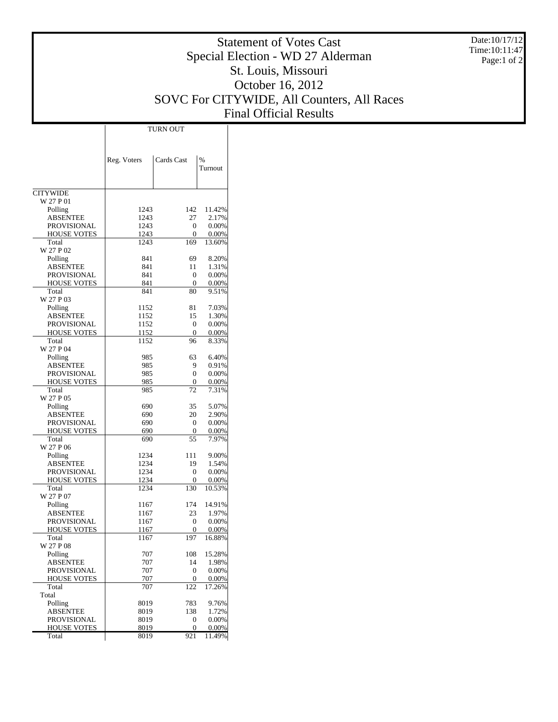Date:10/17/12 Time:10:11:47 Page:1 of 2

## Statement of Votes Cast Special Election - WD 27 Alderman St. Louis, Missouri October 16, 2012 SOVC For CITYWIDE, All Counters, All Races Final Official Results

|                    | <b>TURN OUT</b> |                  |                          |  |  |  |
|--------------------|-----------------|------------------|--------------------------|--|--|--|
|                    |                 |                  |                          |  |  |  |
|                    | Reg. Voters     | Cards Cast       | $\frac{0}{0}$<br>Turnout |  |  |  |
| <b>CITYWIDE</b>    |                 |                  |                          |  |  |  |
| W 27 P 01          |                 |                  |                          |  |  |  |
| Polling            | 1243            | 142              | 11.42%                   |  |  |  |
| ABSENTEE           | 1243            | 27               | 2.17%                    |  |  |  |
| PROVISIONAL        | 1243            | $\overline{0}$   | 0.00%                    |  |  |  |
| HOUSE VOTES        | 1243            | 0                | $0.00\%$                 |  |  |  |
| Total<br>W 27 P 02 | 1243            | 169              | 13.60%                   |  |  |  |
| Polling            | 841             | 69               | 8.20%                    |  |  |  |
| <b>ABSENTEE</b>    | 841             | 11               | 1.31%                    |  |  |  |
| PROVISIONAL        | 841             | 0                | 0.00%                    |  |  |  |
| HOUSE VOTES        | 841             | $\boldsymbol{0}$ | 0.00%                    |  |  |  |
| Total<br>W 27 P 03 | 841             | 80               | 9.51%                    |  |  |  |
| Polling            | 1152            | 81               | 7.03%                    |  |  |  |
| <b>ABSENTEE</b>    | 1152            | 15               | 1.30%                    |  |  |  |
| PROVISIONAL        | 1152            | $\theta$         | 0.00%                    |  |  |  |
| <b>HOUSE VOTES</b> | 1152            | $\theta$         | 0.00%                    |  |  |  |
| Total<br>W 27 P 04 | 1152            | 96               | 8.33%                    |  |  |  |
| Polling            | 985             | 63               | 6.40%                    |  |  |  |
| ABSENTEE           | 985             | 9                | 0.91%                    |  |  |  |
| PROVISIONAL        | 985             | $\overline{0}$   | 0.00%                    |  |  |  |
| <b>HOUSE VOTES</b> | 985             | 0                | 0.00%                    |  |  |  |
| Total<br>W 27 P 05 | 985             | 72               | 7.31%                    |  |  |  |
| Polling            | 690             | 35               | 5.07%                    |  |  |  |
| ABSENTEE           | 690             | 20               | 2.90%                    |  |  |  |
| PROVISIONAL        | 690             | $\theta$         | 0.00%                    |  |  |  |
| <b>HOUSE VOTES</b> | 690             | $\boldsymbol{0}$ | 0.00%                    |  |  |  |
| Total<br>W 27 P 06 | 690             | 55               | 7.97%                    |  |  |  |
| Polling            | 1234            | 111              | 9.00%                    |  |  |  |
| ABSENTEE           | 1234            | 19               | 1.54%                    |  |  |  |
| PROVISIONAL        | 1234            | $\overline{0}$   | 0.00%                    |  |  |  |
| <b>HOUSE VOTES</b> | 1234            | 0                | 0.00%                    |  |  |  |
| Total<br>W 27 P 07 | 1234            | 130              | 10.53%                   |  |  |  |
| Polling            | 1167            | 174              | 14.91%                   |  |  |  |
| <b>ABSENTEE</b>    | 1167            | 23               | 1.97%                    |  |  |  |
| <b>PROVISIONAL</b> | 1167            | 0                | 0.00%                    |  |  |  |
| <b>HOUSE VOTES</b> | 1167            | $\overline{0}$   | 0.00%                    |  |  |  |
| Total<br>W 27 P 08 | 1167            | 197              | 16.88%                   |  |  |  |
| Polling            | 707             | 108              | 15.28%                   |  |  |  |
| ABSENTEE           | 707             | 14               | 1.98%                    |  |  |  |
| PROVISIONAL        | 707             | $\mathbf{0}$     | 0.00%                    |  |  |  |
| HOUSE VOTES        | 707             | 0                | 0.00%                    |  |  |  |
| Total<br>Total     | 707             | 122              | 17.26%                   |  |  |  |
| Polling            | 8019            | 783              | 9.76%                    |  |  |  |
| <b>ABSENTEE</b>    | 8019            | 138              | 1.72%                    |  |  |  |
| PROVISIONAL        | 8019            | $\boldsymbol{0}$ | 0.00%                    |  |  |  |
| HOUSE VOTES        | 8019            | $\boldsymbol{0}$ | 0.00%                    |  |  |  |
| Total              | 8019            | 921              | 11.49%                   |  |  |  |